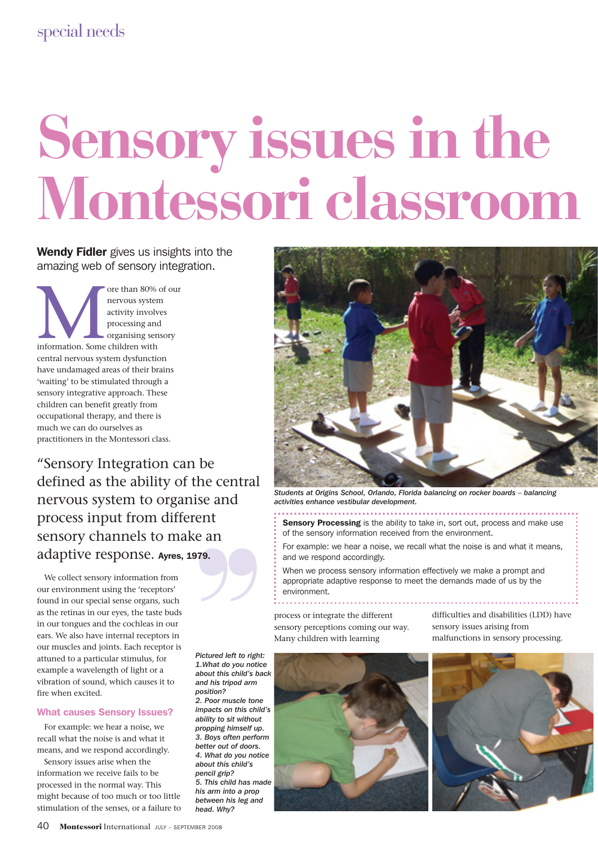# **Sensory issues in the Montessori classroom**

### Wendy Fidler gives us insights into the amazing web of sensory integration.

The than 80% of our nervous system<br>activity involves<br>processing and<br>organising sensory<br>information. Some children with nervous system activity involves processing and organising sensory central nervous system dysfunction have undamaged areas of their brains 'waiting' to be stimulated through a sensory integrative approach. These children can benefit greatly from occupational therapy, and there is much we can do ourselves as practitioners in the Montessori class.

"Sensory Integration can be defined as the ability of the central Free Centra.<br>
se and<br>
ent<br>
e an nervous system to organise and process input from different sensory channels to make an adaptive response. Ayres, 1979.

We collect sensory information from our environment using the 'receptors' found in our special sense organs, such as the retinas in our eyes, the taste buds in our tongues and the cochleas in our ears. We also have internal receptors in our muscles and joints. Each receptor is attuned to a particular stimulus, for example a wavelength of light or a vibration of sound, which causes it to fire when excited.

#### What causes Sensory Issues?

For example: we hear a noise, we recall what the noise is and what it means, and we respond accordingly.

Sensory issues arise when the information we receive fails to be processed in the normal way. This might because of too much or too little stimulation of the senses, or a failure to

*Pictured left to right: 1.What do you notice about this child's back and his tripod arm position? 2. Poor muscle tone impacts on this child's ability to sit without propping himself up. 3. Boys often perform better out of doors. 4. What do you notice about this child's pencil grip? 5. This child has made his arm into a prop between his leg and*

*head. Why?*



*Students at Origins School, Orlando, Florida balancing on rocker boards – balancing activities enhance vestibular development.*

Sensory Processing is the ability to take in, sort out, process and make use of the sensory information received from the environment.

For example: we hear a noise, we recall what the noise is and what it means, and we respond accordingly.

When we process sensory information effectively we make a prompt and appropriate adaptive response to meet the demands made of us by the environment.

process or integrate the different sensory perceptions coming our way. Many children with learning

difficulties and disabilities (LDD) have sensory issues arising from malfunctions in sensory processing.



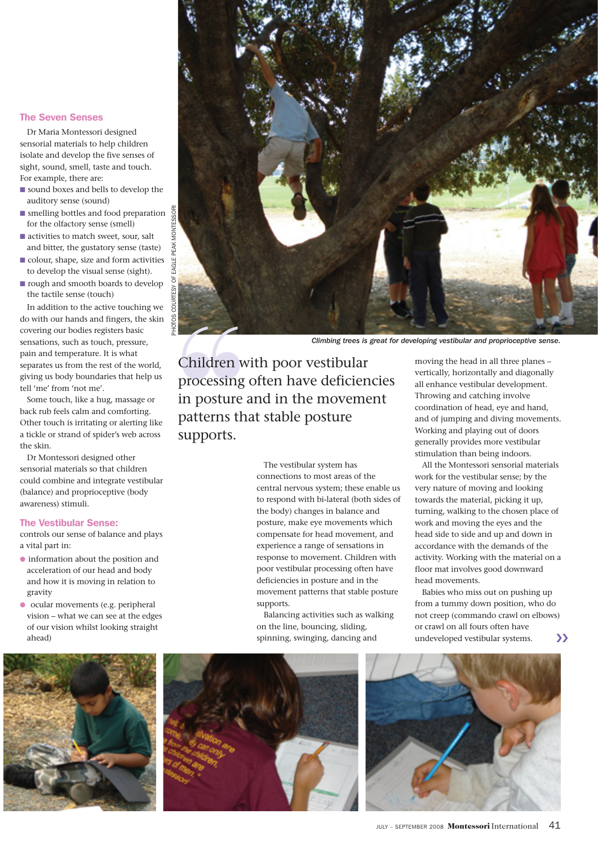#### The Seven Senses

Dr Maria Montessori designed sensorial materials to help children isolate and develop the five senses of sight, sound, smell, taste and touch. For example, there are:

- sound boxes and bells to develop the auditory sense (sound)
- $\blacksquare$  smelling bottles and food preparation  $\frac{6}{9}$ for the olfactory sense (smell)
- activities to match sweet, sour, salt and bitter, the gustatory sense (taste)
- colour, shape, size and form activities to develop the visual sense (sight).
- rough and smooth boards to develop the tactile sense (touch)

In addition to the active touching we do with our hands and fingers, the skin covering our bodies registers basic sensations, such as touch, pressure, pain and temperature. It is what separates us from the rest of the world, giving us body boundaries that help us tell 'me' from 'not me'.

Some touch, like a hug, massage or back rub feels calm and comforting. Other touch is irritating or alerting like a tickle or strand of spider's web across the skin.

Dr Montessori designed other sensorial materials so that children could combine and integrate vestibular (balance) and proprioceptive (body awareness) stimuli.

#### The Vestibular Sense:

controls our sense of balance and plays a vital part in:

- information about the position and acceleration of our head and body and how it is moving in relation to gravity
- ocular movements (e.g. peripheral vision – what we can see at the edges of our vision whilst looking straight ahead)



*Climbing trees is great for developing vestibular and proprioceptive sense.*

Climbing trees is<br>
Children with poor vestibular<br>
processing often have deficier<br>
in posture and in the movem<br>
patterns that stable posture<br>
supports.<br>
The vestibular system has<br>
connections to most areas of ti<br>
central ne processing often have deficiencies in posture and in the movement patterns that stable posture supports.

The vestibular system has connections to most areas of the central nervous system; these enable us to respond with bi-lateral (both sides of the body) changes in balance and posture, make eye movements which compensate for head movement, and experience a range of sensations in response to movement. Children with poor vestibular processing often have deficiencies in posture and in the movement patterns that stable posture supports.

Balancing activities such as walking on the line, bouncing, sliding, spinning, swinging, dancing and

moving the head in all three planes – vertically, horizontally and diagonally all enhance vestibular development. Throwing and catching involve coordination of head, eye and hand, and of jumping and diving movements. Working and playing out of doors generally provides more vestibular stimulation than being indoors.

All the Montessori sensorial materials work for the vestibular sense; by the very nature of moving and looking towards the material, picking it up, turning, walking to the chosen place of work and moving the eyes and the head side to side and up and down in accordance with the demands of the activity. Working with the material on a floor mat involves good downward head movements.

Babies who miss out on pushing up from a tummy down position, who do not creep (commando crawl on elbows) or crawl on all fours often have undeveloped vestibular systems. ❮❮